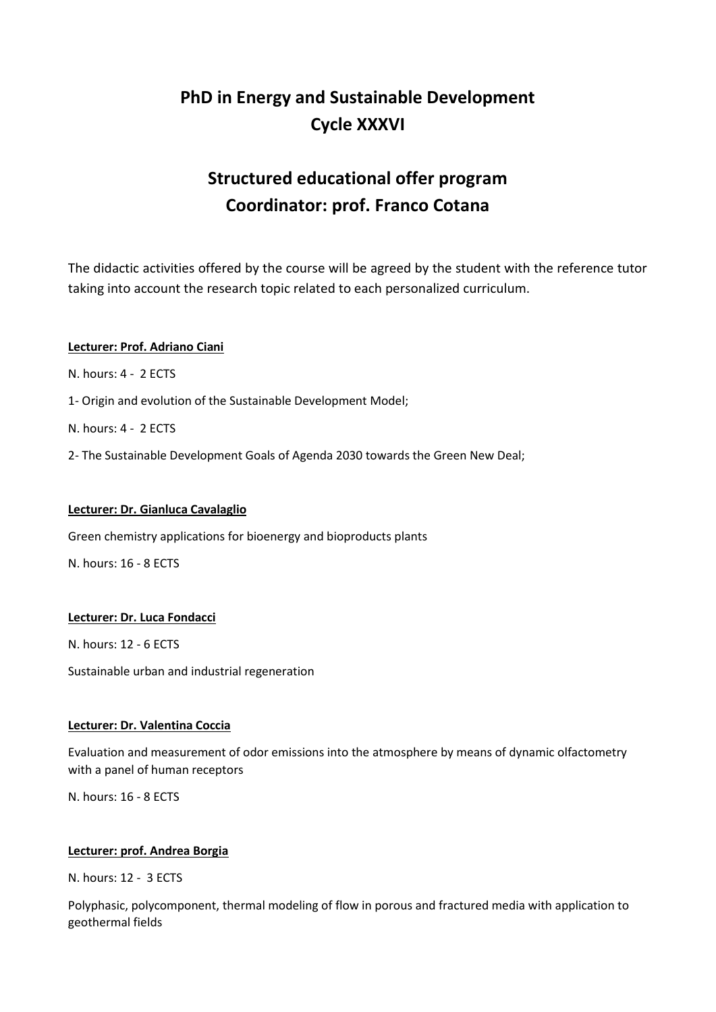# **PhD in Energy and Sustainable Development Cycle XXXVI**

# **Structured educational offer program Coordinator: prof. Franco Cotana**

The didactic activities offered by the course will be agreed by the student with the reference tutor taking into account the research topic related to each personalized curriculum.

### **Lecturer: Prof. Adriano Ciani**

N. hours: 4 - 2 ECTS

1- Origin and evolution of the Sustainable Development Model;

N. hours: 4 - 2 ECTS

2- The Sustainable Development Goals of Agenda 2030 towards the Green New Deal;

### **Lecturer: Dr. Gianluca Cavalaglio**

Green chemistry applications for bioenergy and bioproducts plants

N. hours: 16 - 8 ECTS

### **Lecturer: Dr. Luca Fondacci**

N. hours: 12 - 6 ECTS

Sustainable urban and industrial regeneration

### **Lecturer: Dr. Valentina Coccia**

Evaluation and measurement of odor emissions into the atmosphere by means of dynamic olfactometry with a panel of human receptors

N. hours: 16 - 8 ECTS

### **Lecturer: prof. Andrea Borgia**

N. hours: 12 - 3 ECTS

Polyphasic, polycomponent, thermal modeling of flow in porous and fractured media with application to geothermal fields